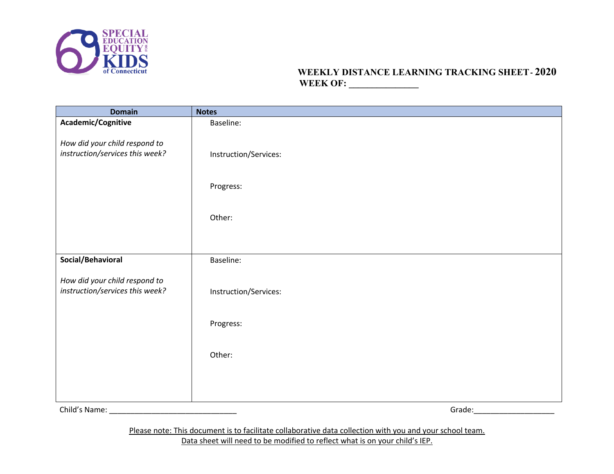

# **WEEKLY DISTANCE LEARNING TRACKING SHEET- 2020 WEEK OF: \_\_\_\_\_\_\_\_\_\_\_\_\_\_\_**

| <b>Domain</b>                   | <b>Notes</b>          |
|---------------------------------|-----------------------|
| Academic/Cognitive              | Baseline:             |
|                                 |                       |
| How did your child respond to   |                       |
| instruction/services this week? | Instruction/Services: |
|                                 |                       |
|                                 | Progress:             |
|                                 |                       |
|                                 |                       |
|                                 | Other:                |
|                                 |                       |
|                                 |                       |
| Social/Behavioral               |                       |
|                                 | Baseline:             |
| How did your child respond to   |                       |
| instruction/services this week? | Instruction/Services: |
|                                 |                       |
|                                 |                       |
|                                 | Progress:             |
|                                 |                       |
|                                 | Other:                |
|                                 |                       |
|                                 |                       |
|                                 |                       |
|                                 |                       |
| Child's Name:                   | Grade:                |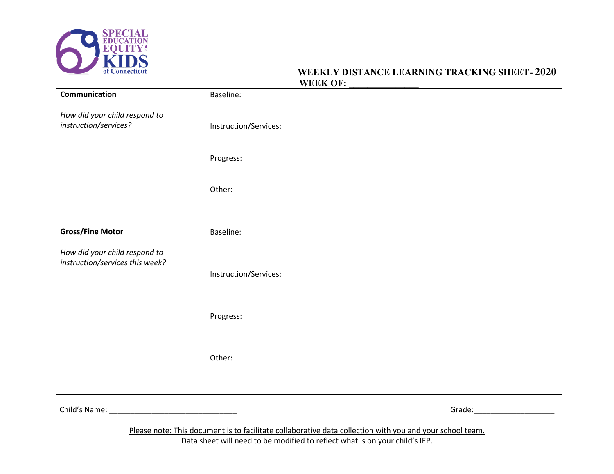

# **WEEKLY DISTANCE LEARNING TRACKING SHEET- 2020** WEEK OF:

| Communication                                                    | Baseline:             |
|------------------------------------------------------------------|-----------------------|
| How did your child respond to<br>instruction/services?           | Instruction/Services: |
|                                                                  | Progress:             |
|                                                                  | Other:                |
|                                                                  |                       |
| <b>Gross/Fine Motor</b>                                          | Baseline:             |
| How did your child respond to<br>instruction/services this week? | Instruction/Services: |
|                                                                  | Progress:             |
|                                                                  | Other:                |

Child's Name: \_\_\_\_\_\_\_\_\_\_\_\_\_\_\_\_\_\_\_\_\_\_\_\_\_\_\_\_\_\_ Grade:\_\_\_\_\_\_\_\_\_\_\_\_\_\_\_\_\_\_\_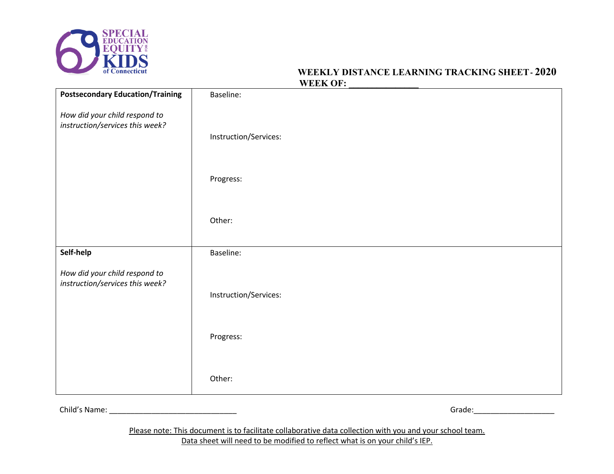

# **WEEKLY DISTANCE LEARNING TRACKING SHEET- 2020** WEEK OF:

| <b>Postsecondary Education/Training</b>                          | Baseline:             |
|------------------------------------------------------------------|-----------------------|
| How did your child respond to<br>instruction/services this week? |                       |
|                                                                  | Instruction/Services: |
|                                                                  |                       |
|                                                                  | Progress:             |
|                                                                  |                       |
|                                                                  | Other:                |
| Self-help                                                        | Baseline:             |
| How did your child respond to<br>instruction/services this week? |                       |
|                                                                  | Instruction/Services: |
|                                                                  |                       |
|                                                                  | Progress:             |
|                                                                  |                       |
|                                                                  | Other:                |

Child's Name: \_\_\_\_\_\_\_\_\_\_\_\_\_\_\_\_\_\_\_\_\_\_\_\_\_\_\_\_\_\_ Grade:\_\_\_\_\_\_\_\_\_\_\_\_\_\_\_\_\_\_\_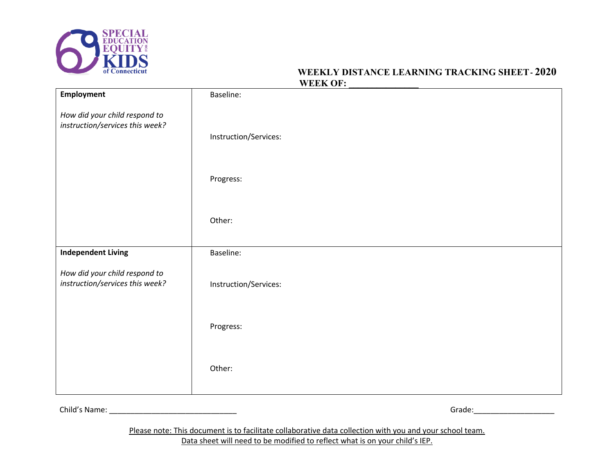

# **WEEKLY DISTANCE LEARNING TRACKING SHEET- 2020** WEEK OF:

|                                                                  | $\cdots$              |
|------------------------------------------------------------------|-----------------------|
| <b>Employment</b>                                                | Baseline:             |
| How did your child respond to<br>instruction/services this week? |                       |
|                                                                  | Instruction/Services: |
|                                                                  |                       |
|                                                                  | Progress:             |
|                                                                  |                       |
|                                                                  | Other:                |
|                                                                  |                       |
| <b>Independent Living</b>                                        | Baseline:             |
| How did your child respond to<br>instruction/services this week? | Instruction/Services: |
|                                                                  |                       |
|                                                                  | Progress:             |
|                                                                  |                       |
|                                                                  | Other:                |
|                                                                  |                       |

Child's Name: \_\_\_\_\_\_\_\_\_\_\_\_\_\_\_\_\_\_\_\_\_\_\_\_\_\_\_\_\_\_ Grade:\_\_\_\_\_\_\_\_\_\_\_\_\_\_\_\_\_\_\_